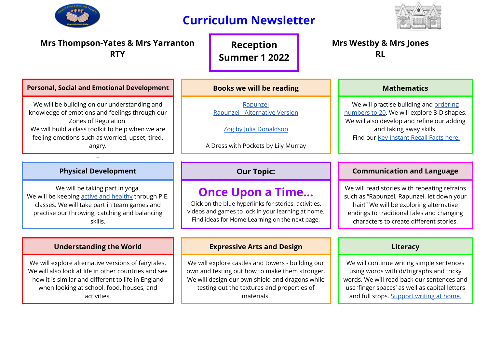

# **Curriculum Newsletter**



| <b>Mrs Thompson-Yates &amp; Mrs Yarranton</b><br><b>RTY</b>                                                                                                                                                                              |                                 | <b>Reception</b><br><b>Summer 1 2022</b>                                                                                                                                                                           |  | <b>Mrs Westby &amp; Mrs Jones</b><br><b>RL</b>                                                                                                                                                                                    |  |
|------------------------------------------------------------------------------------------------------------------------------------------------------------------------------------------------------------------------------------------|---------------------------------|--------------------------------------------------------------------------------------------------------------------------------------------------------------------------------------------------------------------|--|-----------------------------------------------------------------------------------------------------------------------------------------------------------------------------------------------------------------------------------|--|
| <b>Personal, Social and Emotional Development</b>                                                                                                                                                                                        | <b>Books we will be reading</b> |                                                                                                                                                                                                                    |  | <b>Mathematics</b>                                                                                                                                                                                                                |  |
| We will be building on our understanding and<br>knowledge of emotions and feelings through our<br>Zones of Regulation.<br>We will build a class toolkit to help when we are<br>feeling emotions such as worried, upset, tired,<br>angry. |                                 | Rapunzel<br>Rapunzel - Alternative Version<br>Zog by Julia Donaldson<br>A Dress with Pockets by Lily Murray                                                                                                        |  | We will practise building and ordering<br>numbers to 20. We will explore 3-D shapes.<br>We will also develop and refine our adding<br>and taking away skills.<br>Find our Key Instant Recall Facts here.                          |  |
| Or th                                                                                                                                                                                                                                    |                                 |                                                                                                                                                                                                                    |  |                                                                                                                                                                                                                                   |  |
| <b>Physical Development</b>                                                                                                                                                                                                              |                                 | <b>Our Topic:</b>                                                                                                                                                                                                  |  | <b>Communication and Language</b>                                                                                                                                                                                                 |  |
| We will be taking part in yoga.<br>We will be keeping active and healthy through P.E.<br>classes. We will take part in team games and<br>practise our throwing, catching and balancing<br>skills.                                        |                                 | <b>Once Upon a Time</b><br>Click on the blue hyperlinks for stories, activities,<br>videos and games to lock in your learning at home.<br>Find ideas for Home Learning on the next page.                           |  | We will read stories with repeating refrains<br>such as "Rapunzel, Rapunzel, let down your<br>hair!" We will be exploring alternative<br>endings to traditional tales and changing<br>characters to create different stories.     |  |
|                                                                                                                                                                                                                                          |                                 |                                                                                                                                                                                                                    |  |                                                                                                                                                                                                                                   |  |
| <b>Understanding the World</b>                                                                                                                                                                                                           |                                 | <b>Expressive Arts and Design</b>                                                                                                                                                                                  |  | Literacy                                                                                                                                                                                                                          |  |
| We will explore alternative versions of fairytales.<br>We will also look at life in other countries and see<br>how it is similar and different to life in England<br>when looking at school, food, houses, and<br>activities.            |                                 | We will explore castles and towers - building our<br>own and testing out how to make them stronger.<br>We will design our own shield and dragons while<br>testing out the textures and properties of<br>materials. |  | We will continue writing simple sentences<br>using words with di/trigraphs and tricky<br>words. We will read back our sentences and<br>use 'finger spaces' as well as capital letters<br>and full stops. Support writing at home. |  |